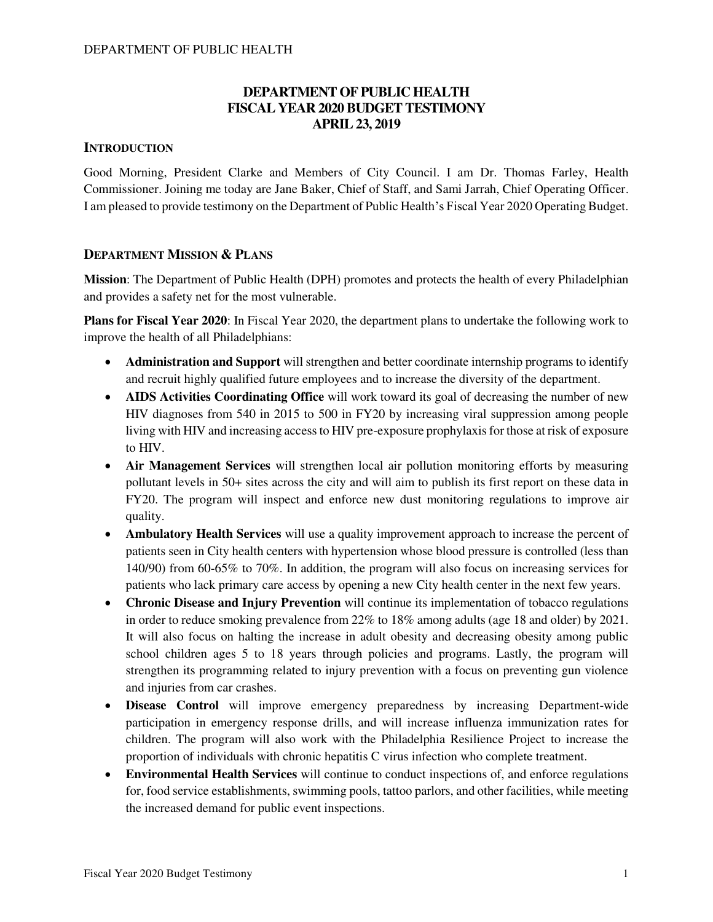### **DEPARTMENT OF PUBLIC HEALTH FISCAL YEAR 2020 BUDGET TESTIMONY APRIL 23, 2019**

### **INTRODUCTION**

Good Morning, President Clarke and Members of City Council. I am Dr. Thomas Farley, Health Commissioner. Joining me today are Jane Baker, Chief of Staff, and Sami Jarrah, Chief Operating Officer. I am pleased to provide testimony on the Department of Public Health's Fiscal Year 2020 Operating Budget.

### **DEPARTMENT MISSION & PLANS**

**Mission**: The Department of Public Health (DPH) promotes and protects the health of every Philadelphian and provides a safety net for the most vulnerable.

**Plans for Fiscal Year 2020**: In Fiscal Year 2020, the department plans to undertake the following work to improve the health of all Philadelphians:

- **Administration and Support** will strengthen and better coordinate internship programs to identify and recruit highly qualified future employees and to increase the diversity of the department.
- **AIDS Activities Coordinating Office** will work toward its goal of decreasing the number of new HIV diagnoses from 540 in 2015 to 500 in FY20 by increasing viral suppression among people living with HIV and increasing access to HIV pre-exposure prophylaxis for those at risk of exposure to HIV.
- **Air Management Services** will strengthen local air pollution monitoring efforts by measuring pollutant levels in 50+ sites across the city and will aim to publish its first report on these data in FY20. The program will inspect and enforce new dust monitoring regulations to improve air quality.
- **Ambulatory Health Services** will use a quality improvement approach to increase the percent of patients seen in City health centers with hypertension whose blood pressure is controlled (less than 140/90) from 60-65% to 70%. In addition, the program will also focus on increasing services for patients who lack primary care access by opening a new City health center in the next few years.
- **Chronic Disease and Injury Prevention** will continue its implementation of tobacco regulations in order to reduce smoking prevalence from 22% to 18% among adults (age 18 and older) by 2021. It will also focus on halting the increase in adult obesity and decreasing obesity among public school children ages 5 to 18 years through policies and programs. Lastly, the program will strengthen its programming related to injury prevention with a focus on preventing gun violence and injuries from car crashes.
- **Disease Control** will improve emergency preparedness by increasing Department-wide participation in emergency response drills, and will increase influenza immunization rates for children. The program will also work with the Philadelphia Resilience Project to increase the proportion of individuals with chronic hepatitis C virus infection who complete treatment.
- **Environmental Health Services** will continue to conduct inspections of, and enforce regulations for, food service establishments, swimming pools, tattoo parlors, and other facilities, while meeting the increased demand for public event inspections.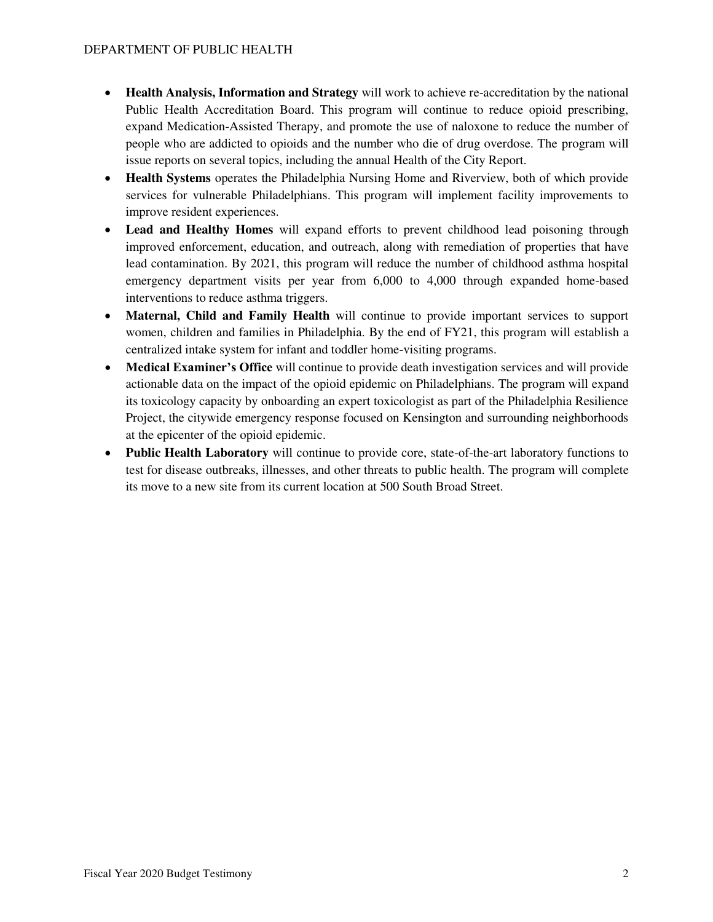- **Health Analysis, Information and Strategy** will work to achieve re-accreditation by the national Public Health Accreditation Board. This program will continue to reduce opioid prescribing, expand Medication-Assisted Therapy, and promote the use of naloxone to reduce the number of people who are addicted to opioids and the number who die of drug overdose. The program will issue reports on several topics, including the annual Health of the City Report.
- **Health Systems** operates the Philadelphia Nursing Home and Riverview, both of which provide services for vulnerable Philadelphians. This program will implement facility improvements to improve resident experiences.
- **Lead and Healthy Homes** will expand efforts to prevent childhood lead poisoning through improved enforcement, education, and outreach, along with remediation of properties that have lead contamination. By 2021, this program will reduce the number of childhood asthma hospital emergency department visits per year from 6,000 to 4,000 through expanded home-based interventions to reduce asthma triggers.
- **Maternal, Child and Family Health** will continue to provide important services to support women, children and families in Philadelphia. By the end of FY21, this program will establish a centralized intake system for infant and toddler home-visiting programs.
- **Medical Examiner's Office** will continue to provide death investigation services and will provide actionable data on the impact of the opioid epidemic on Philadelphians. The program will expand its toxicology capacity by onboarding an expert toxicologist as part of the Philadelphia Resilience Project, the citywide emergency response focused on Kensington and surrounding neighborhoods at the epicenter of the opioid epidemic.
- **Public Health Laboratory** will continue to provide core, state-of-the-art laboratory functions to test for disease outbreaks, illnesses, and other threats to public health. The program will complete its move to a new site from its current location at 500 South Broad Street.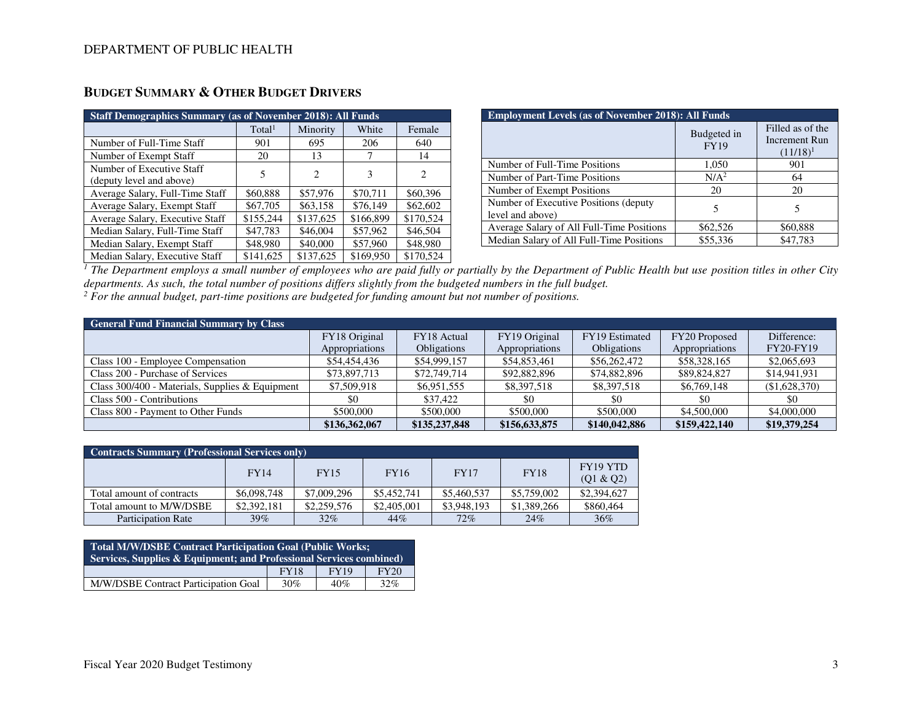| <b>Staff Demographics Summary (as of November 2018): All Funds</b> |                    |           |           |           |  |  |  |  |
|--------------------------------------------------------------------|--------------------|-----------|-----------|-----------|--|--|--|--|
|                                                                    | Total <sup>1</sup> | Minority  | White     | Female    |  |  |  |  |
| Number of Full-Time Staff                                          | 901                | 695       | 206       | 640       |  |  |  |  |
| Number of Exempt Staff                                             | 20                 | 13        | 7         | 14        |  |  |  |  |
| Number of Executive Staff                                          | 5                  | 2         | 3         | 2         |  |  |  |  |
| (deputy level and above)                                           |                    |           |           |           |  |  |  |  |
| Average Salary, Full-Time Staff                                    | \$60,888           | \$57,976  | \$70,711  | \$60,396  |  |  |  |  |
| Average Salary, Exempt Staff                                       | \$67,705           | \$63,158  | \$76,149  | \$62,602  |  |  |  |  |
| Average Salary, Executive Staff                                    | \$155,244          | \$137,625 | \$166,899 | \$170,524 |  |  |  |  |
| Median Salary, Full-Time Staff                                     | \$47,783           | \$46,004  | \$57,962  | \$46,504  |  |  |  |  |
| Median Salary, Exempt Staff                                        | \$48,980           | \$40,000  | \$57,960  | \$48,980  |  |  |  |  |
| Median Salary, Executive Staff                                     | \$141,625          | \$137,625 | \$169,950 | \$170,524 |  |  |  |  |

## **BUDGET SUMMARY & OTHER BUDGET DRIVERS**

| <b>Employment Levels (as of November 2018): All Funds</b> |                            |                                                  |  |  |  |  |
|-----------------------------------------------------------|----------------------------|--------------------------------------------------|--|--|--|--|
|                                                           | Budgeted in<br><b>FY19</b> | Filled as of the<br>Increment Run<br>$(11/18)^1$ |  |  |  |  |
| Number of Full-Time Positions                             | 1,050                      | 901                                              |  |  |  |  |
| Number of Part-Time Positions                             | N/A <sup>2</sup>           | 64                                               |  |  |  |  |
| Number of Exempt Positions                                | 20                         | 20                                               |  |  |  |  |
| Number of Executive Positions (deputy<br>level and above) |                            | 5                                                |  |  |  |  |
| Average Salary of All Full-Time Positions                 | \$62,526                   | \$60,888                                         |  |  |  |  |
| Median Salary of All Full-Time Positions                  | \$55,336                   | \$47,783                                         |  |  |  |  |

<sup>1</sup> The Department employs a small number of employees who are paid fully or partially by the Department of Public Health but use position titles in other City *departments. As such, the total number of positions differs slightly from the budgeted numbers in the full budget.* 

<sup>2</sup> For the annual budget, part-time positions are budgeted for funding amount but not number of positions.

| <b>General Fund Financial Summary by Class</b>    |                |                    |                |                    |                |                  |
|---------------------------------------------------|----------------|--------------------|----------------|--------------------|----------------|------------------|
|                                                   | FY18 Original  | FY18 Actual        | FY19 Original  | FY19 Estimated     | FY20 Proposed  | Difference:      |
|                                                   | Appropriations | <b>Obligations</b> | Appropriations | <b>Obligations</b> | Appropriations | <b>FY20-FY19</b> |
| Class 100 - Employee Compensation                 | \$54,454,436   | \$54,999,157       | \$54,853,461   | \$56,262,472       | \$58,328,165   | \$2,065,693      |
| Class 200 - Purchase of Services                  | \$73,897,713   | \$72,749,714       | \$92,882,896   | \$74,882,896       | \$89,824,827   | \$14,941,931     |
| Class $300/400$ - Materials, Supplies & Equipment | \$7,509,918    | \$6,951,555        | \$8,397,518    | \$8,397,518        | \$6,769,148    | (\$1,628,370)    |
| Class 500 - Contributions                         | \$0            | \$37,422           | \$0            | \$0                | \$0            | \$0              |
| Class 800 - Payment to Other Funds                | \$500,000      | \$500,000          | \$500,000      | \$500,000          | \$4,500,000    | \$4,000,000      |
|                                                   | \$136,362,067  | \$135,237,848      | \$156,633,875  | \$140,042,886      | \$159,422,140  | \$19,379,254     |

| <b>Contracts Summary (Professional Services only)</b> |             |             |             |             |             |                       |  |  |  |
|-------------------------------------------------------|-------------|-------------|-------------|-------------|-------------|-----------------------|--|--|--|
|                                                       | <b>FY14</b> | <b>FY15</b> | <b>FY16</b> | <b>FY17</b> | <b>FY18</b> | FY19 YTD<br>(Q1 & Q2) |  |  |  |
| Total amount of contracts                             | \$6,098,748 | \$7,009,296 | \$5,452,741 | \$5,460,537 | \$5,759,002 | \$2,394,627           |  |  |  |
| Total amount to M/W/DSBE                              | \$2,392,181 | \$2,259,576 | \$2,405,001 | \$3,948,193 | \$1,389,266 | \$860,464             |  |  |  |
| <b>Participation Rate</b>                             | 39%         | 32%         | 44%         | 72%         | 24%         | 36%                   |  |  |  |

| <b>Total M/W/DSBE Contract Participation Goal (Public Works;</b><br>Services, Supplies & Equipment; and Professional Services combined) |             |             |             |  |  |
|-----------------------------------------------------------------------------------------------------------------------------------------|-------------|-------------|-------------|--|--|
|                                                                                                                                         | <b>FY18</b> | <b>FY19</b> | <b>FY20</b> |  |  |
| M/W/DSBE Contract Participation Goal                                                                                                    | 30%         | 40%         | 32%         |  |  |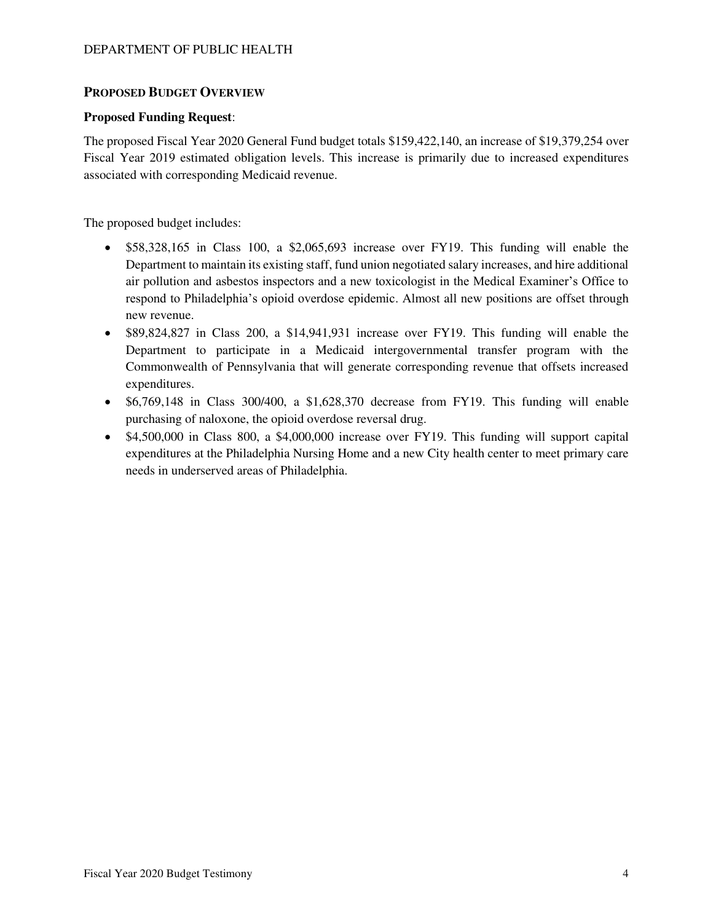#### **PROPOSED BUDGET OVERVIEW**

#### **Proposed Funding Request**:

The proposed Fiscal Year 2020 General Fund budget totals \$159,422,140, an increase of \$19,379,254 over Fiscal Year 2019 estimated obligation levels. This increase is primarily due to increased expenditures associated with corresponding Medicaid revenue.

The proposed budget includes:

- \$58,328,165 in Class 100, a \$2,065,693 increase over FY19. This funding will enable the Department to maintain its existing staff, fund union negotiated salary increases, and hire additional air pollution and asbestos inspectors and a new toxicologist in the Medical Examiner's Office to respond to Philadelphia's opioid overdose epidemic. Almost all new positions are offset through new revenue.
- \$89,824,827 in Class 200, a \$14,941,931 increase over FY19. This funding will enable the Department to participate in a Medicaid intergovernmental transfer program with the Commonwealth of Pennsylvania that will generate corresponding revenue that offsets increased expenditures.
- \$6,769,148 in Class 300/400, a \$1,628,370 decrease from FY19. This funding will enable purchasing of naloxone, the opioid overdose reversal drug.
- \$4,500,000 in Class 800, a \$4,000,000 increase over FY19. This funding will support capital expenditures at the Philadelphia Nursing Home and a new City health center to meet primary care needs in underserved areas of Philadelphia.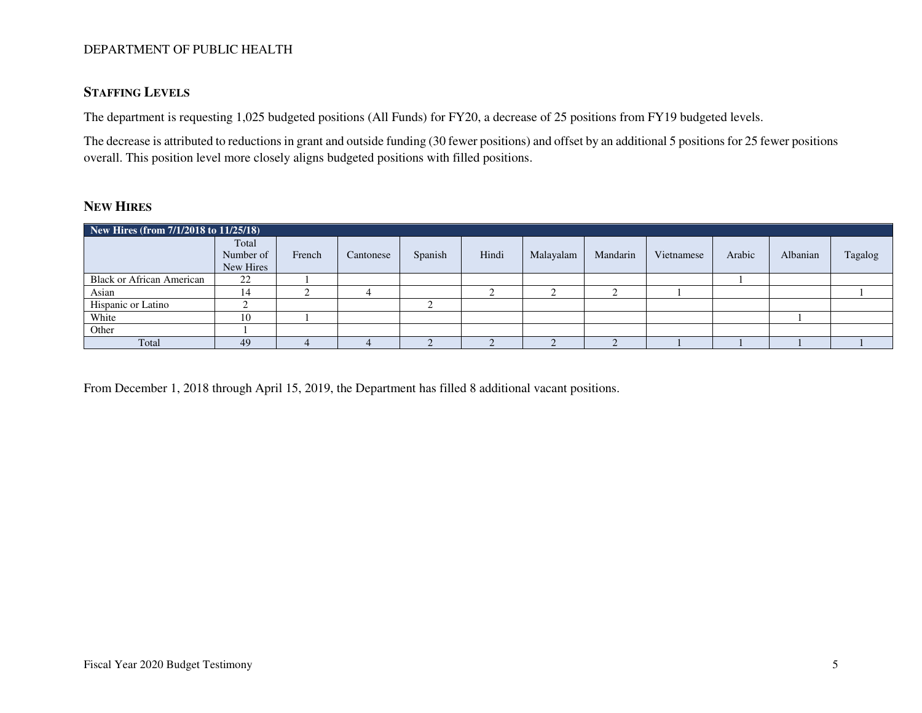### **STAFFING LEVELS**

The department is requesting 1,025 budgeted positions (All Funds) for FY20, a decrease of 25 positions from FY19 budgeted levels.

The decrease is attributed to reductions in grant and outside funding (30 fewer positions) and offset by an additional 5 positions for 25 fewer positions overall. This position level more closely aligns budgeted positions with filled positions.

### **NEW HIRES**

| New Hires (from 7/1/2018 to 11/25/18) |                                 |        |           |         |       |           |          |            |        |          |         |
|---------------------------------------|---------------------------------|--------|-----------|---------|-------|-----------|----------|------------|--------|----------|---------|
|                                       | Total<br>Number of<br>New Hires | French | Cantonese | Spanish | Hindi | Malayalam | Mandarin | Vietnamese | Arabic | Albanian | Tagalog |
| <b>Black or African American</b>      | 22                              |        |           |         |       |           |          |            |        |          |         |
| Asian                                 | 14                              |        |           |         |       |           |          |            |        |          |         |
| Hispanic or Latino                    |                                 |        |           |         |       |           |          |            |        |          |         |
| White                                 | 10                              |        |           |         |       |           |          |            |        |          |         |
| Other                                 |                                 |        |           |         |       |           |          |            |        |          |         |
| Total                                 | 49                              |        |           |         |       |           |          |            |        |          |         |

From December 1, 2018 through April 15, 2019, the Department has filled 8 additional vacant positions.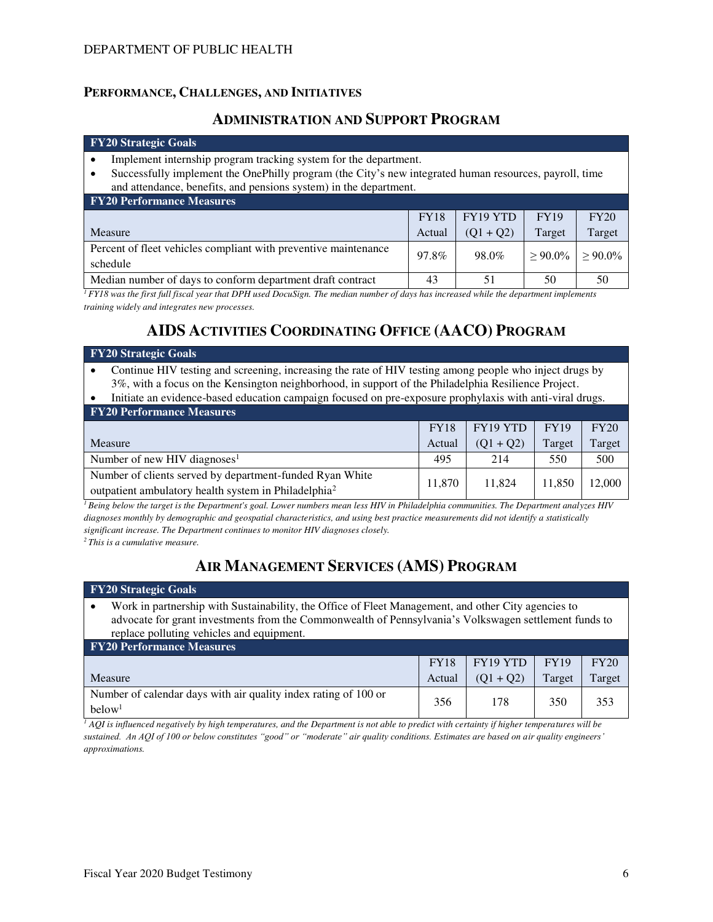### **PERFORMANCE, CHALLENGES, AND INITIATIVES**

## **ADMINISTRATION AND SUPPORT PROGRAM**

#### **FY20 Strategic Goals**

- Implement internship program tracking system for the department.
- Successfully implement the OnePhilly program (the City's new integrated human resources, payroll, time and attendance, benefits, and pensions system) in the department.

| <b>FY20 Performance Measures</b>                                            |             |             |             |            |
|-----------------------------------------------------------------------------|-------------|-------------|-------------|------------|
|                                                                             | <b>FY18</b> | FY19 YTD    | <b>FY19</b> | FY20       |
| Measure                                                                     | Actual      | $(01 + 02)$ | Target      | Target     |
| Percent of fleet vehicles compliant with preventive maintenance<br>schedule | 97.8%       | 98.0%       | $> 90.0\%$  | $> 90.0\%$ |
| Median number of days to conform department draft contract                  | 43          | 51          | 50          | 50         |

*<sup>1</sup>FY18 was the first full fiscal year that DPH used DocuSign. The median number of days has increased while the department implements training widely and integrates new processes.* 

# **AIDS ACTIVITIES COORDINATING OFFICE (AACO) PROGRAM**

| FY20 Strategic Goals                                                                                                                                                                                           |             |             |             |        |  |  |
|----------------------------------------------------------------------------------------------------------------------------------------------------------------------------------------------------------------|-------------|-------------|-------------|--------|--|--|
| Continue HIV testing and screening, increasing the rate of HIV testing among people who inject drugs by<br>3%, with a focus on the Kensington neighborhood, in support of the Philadelphia Resilience Project. |             |             |             |        |  |  |
| Initiate an evidence-based education campaign focused on pre-exposure prophylaxis with anti-viral drugs.                                                                                                       |             |             |             |        |  |  |
| <b>FY20 Performance Measures</b>                                                                                                                                                                               |             |             |             |        |  |  |
|                                                                                                                                                                                                                | <b>FY18</b> | FY19 YTD    | <b>FY19</b> | FY20   |  |  |
| Measure                                                                                                                                                                                                        | Actual      | $(Q1 + Q2)$ | Target      | Target |  |  |
| Number of new HIV diagnoses <sup>1</sup>                                                                                                                                                                       | 495         | 214         | 550         | 500    |  |  |
| Number of clients served by department-funded Ryan White<br>$\mathcal{L}$ and $\mathcal{L}$ and $\mathcal{L}$ and $\mathcal{L}$ and $\mathcal{L}$ and $\mathcal{L}$ and $\mathcal{L}$ and $\mathcal{L}$        | 11.870      | 11.824      | 11,850      | 12.000 |  |  |

outpatient ambulatory health system in Philadelphia<sup>2</sup>

*<sup>1</sup>Being below the target is the Department's goal. Lower numbers mean less HIV in Philadelphia communities. The Department analyzes HIV diagnoses monthly by demographic and geospatial characteristics, and using best practice measurements did not identify a statistically significant increase. The Department continues to monitor HIV diagnoses closely.* 

*<sup>2</sup>This is a cumulative measure.* 

# **AIR MANAGEMENT SERVICES (AMS) PROGRAM**

#### **FY20 Strategic Goals**

• Work in partnership with Sustainability, the Office of Fleet Management, and other City agencies to advocate for grant investments from the Commonwealth of Pennsylvania's Volkswagen settlement funds to replace polluting vehicles and equipment.

| <b>FY20 Performance Measures</b>                                                      |             |                         |             |        |
|---------------------------------------------------------------------------------------|-------------|-------------------------|-------------|--------|
|                                                                                       | <b>FY18</b> | $\overline{Y}$ FY19 YTD | <b>FY19</b> | FY20   |
| Measure                                                                               | Actual      | $(Q1 + Q2)$             | Target      | Target |
| Number of calendar days with air quality index rating of 100 or<br>below <sup>1</sup> | 356         | 178                     | 350         | 353    |

 $^I$  AQI is influenced negatively by high temperatures, and the Department is not able to predict with certainty if higher temperatures will be *sustained. An AQI of 100 or below constitutes "good" or "moderate" air quality conditions. Estimates are based on air quality engineers' approximations.*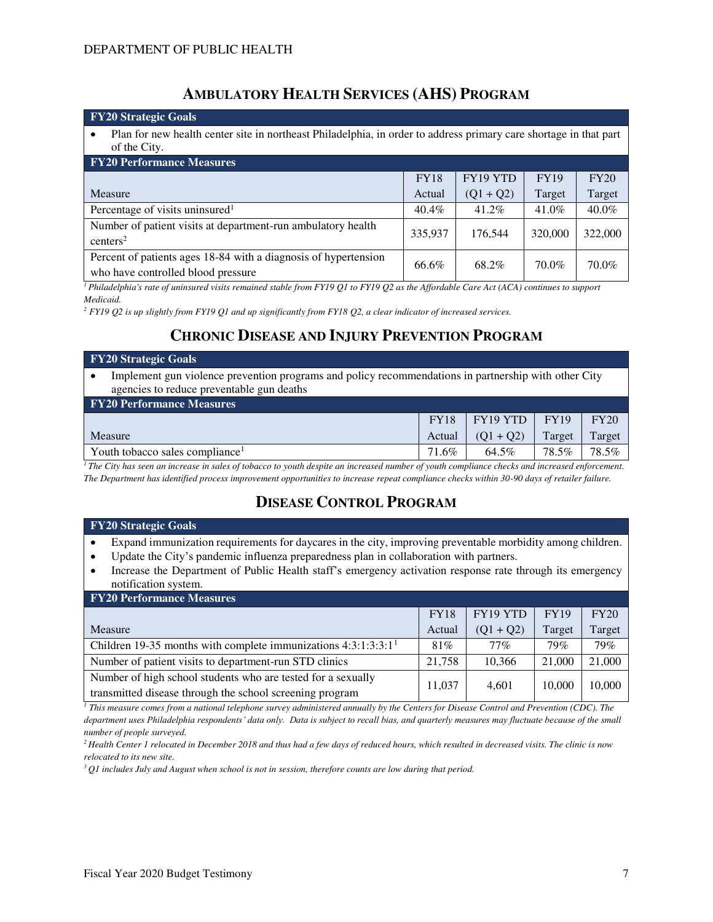## **AMBULATORY HEALTH SERVICES (AHS) PROGRAM**

| <b>FY20 Strategic Goals</b>                                                                                                       |             |             |             |          |  |  |  |  |
|-----------------------------------------------------------------------------------------------------------------------------------|-------------|-------------|-------------|----------|--|--|--|--|
| Plan for new health center site in northeast Philadelphia, in order to address primary care shortage in that part<br>of the City. |             |             |             |          |  |  |  |  |
| <b>FY20 Performance Measures</b>                                                                                                  |             |             |             |          |  |  |  |  |
|                                                                                                                                   | <b>FY18</b> | FY19 YTD    | <b>FY19</b> | FY20     |  |  |  |  |
| Measure                                                                                                                           | Actual      | $(Q1 + Q2)$ | Target      | Target   |  |  |  |  |
| Percentage of visits uninsured <sup>1</sup>                                                                                       | 40.4%       | 41.2%       | 41.0%       | $40.0\%$ |  |  |  |  |
| Number of patient visits at department-run ambulatory health<br>centers <sup>2</sup>                                              | 335,937     | 176.544     | 320,000     | 322,000  |  |  |  |  |
| Percent of patients ages 18-84 with a diagnosis of hypertension<br>who have controlled blood pressure                             | 66.6%       | 68.2%       | 70.0%       | 70.0%    |  |  |  |  |

*<sup>1</sup>Philadelphia's rate of uninsured visits remained stable from FY19 Q1 to FY19 Q2 as the Affordable Care Act (ACA) continues to support Medicaid.* 

*2 FY19 Q2 is up slightly from FY19 Q1 and up significantly from FY18 Q2, a clear indicator of increased services.*

# **CHRONIC DISEASE AND INJURY PREVENTION PROGRAM**

| <b>FY20</b> Strategic Goals                                                                                                                       |              |                                       |             |                                        |  |
|---------------------------------------------------------------------------------------------------------------------------------------------------|--------------|---------------------------------------|-------------|----------------------------------------|--|
| Implement gun violence prevention programs and policy recommendations in partnership with other City<br>agencies to reduce preventable gun deaths |              |                                       |             |                                        |  |
| <b>FY20 Performance Measures</b>                                                                                                                  |              |                                       |             |                                        |  |
|                                                                                                                                                   | <b>FY18</b>  | FY19 YTD                              | <b>FY19</b> | FY20                                   |  |
| Measure                                                                                                                                           | Actual       | $(Q1 + Q2)$                           | Target      | Target                                 |  |
| Youth tobacco sales compliance <sup>1</sup>                                                                                                       | 71.6%        | 64.5%                                 | 78.5%       | 78.5%                                  |  |
| $\mathbf{m}$ $\mathbf{m}$ $\mathbf{m}$<br>$\mathbf{1}$ $\mathbf{1}$ $\mathbf{1}$ $\mathbf{1}$ $\mathbf{1}$                                        | $\mathbf{I}$ | $\cdots$<br>$\mathbf{r}$ $\mathbf{r}$ | $\cdots$    | $\mathbf{r}$ $\mathbf{r}$ $\mathbf{r}$ |  |

*<sup>1</sup>The City has seen an increase in sales of tobacco to youth despite an increased number of youth compliance checks and increased enforcement. The Department has identified process improvement opportunities to increase repeat compliance checks within 30-90 days of retailer failure.*

# **DISEASE CONTROL PROGRAM**

#### **FY20 Strategic Goals**

- Expand immunization requirements for daycares in the city, improving preventable morbidity among children.
- Update the City's pandemic influenza preparedness plan in collaboration with partners.
- Increase the Department of Public Health staff's emergency activation response rate through its emergency notification system.

| <b>FY20 Performance Measures</b>                                 |             |             |             |        |
|------------------------------------------------------------------|-------------|-------------|-------------|--------|
|                                                                  | <b>FY18</b> | FY19 YTD    | <b>FY19</b> | FY20   |
| Measure                                                          | Actual      | $(Q1 + Q2)$ | Target      | Target |
| Children 19-35 months with complete immunizations $4:3:1:3:3:11$ | 81%         | $77\%$      | 79%         | 79%    |
| Number of patient visits to department-run STD clinics           | 21,758      | 10.366      | 21,000      | 21,000 |
| Number of high school students who are tested for a sexually     | 11,037      | 4,601       | 10.000      | 10,000 |
| transmitted disease through the school screening program         |             |             |             |        |

*1 This measure comes from a national telephone survey administered annually by the Centers for Disease Control and Prevention (CDC). The department uses Philadelphia respondents' data only. Data is subject to recall bias, and quarterly measures may fluctuate because of the small number of people surveyed.* 

*<sup>2</sup>Health Center 1 relocated in December 2018 and thus had a few days of reduced hours, which resulted in decreased visits. The clinic is now relocated to its new site.* 

*3 Q1 includes July and August when school is not in session, therefore counts are low during that period.*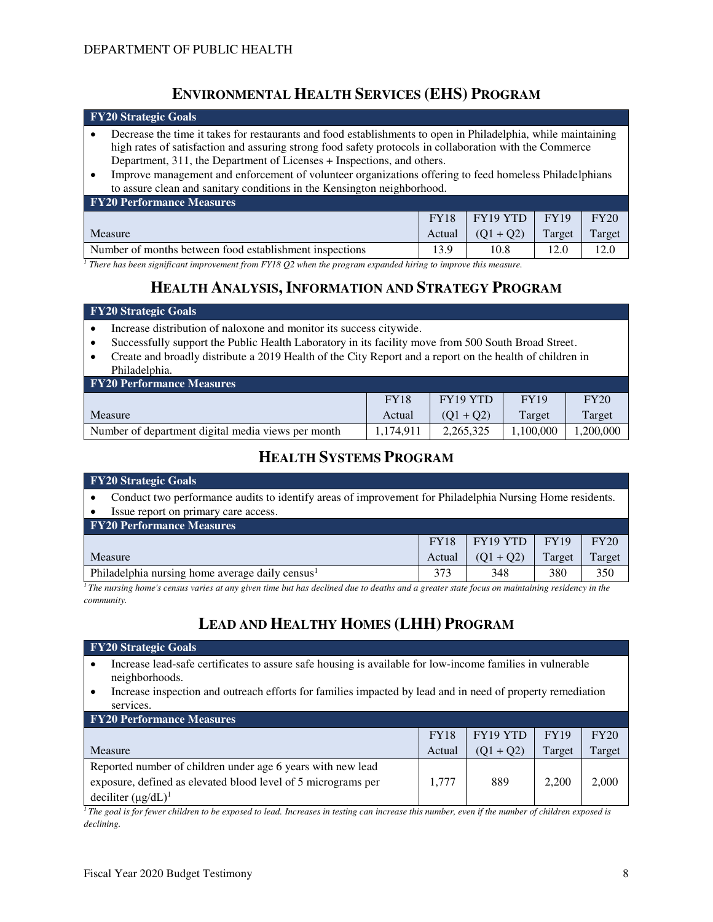## **ENVIRONMENTAL HEALTH SERVICES (EHS) PROGRAM**

| <b>FY20 Strategic Goals</b>                                                                                                                                                                                                                                                                                                                                                                                                                                                             |      |      |      |      |  |  |  |
|-----------------------------------------------------------------------------------------------------------------------------------------------------------------------------------------------------------------------------------------------------------------------------------------------------------------------------------------------------------------------------------------------------------------------------------------------------------------------------------------|------|------|------|------|--|--|--|
| Decrease the time it takes for restaurants and food establishments to open in Philadelphia, while maintaining<br>high rates of satisfaction and assuring strong food safety protocols in collaboration with the Commerce<br>Department, 311, the Department of Licenses + Inspections, and others.<br>Improve management and enforcement of volunteer organizations offering to feed homeless Philadelphians<br>to assure clean and sanitary conditions in the Kensington neighborhood. |      |      |      |      |  |  |  |
| <b>FY20 Performance Measures</b>                                                                                                                                                                                                                                                                                                                                                                                                                                                        |      |      |      |      |  |  |  |
| FY19 YTD<br><b>FY19</b><br>FY20<br><b>FY18</b>                                                                                                                                                                                                                                                                                                                                                                                                                                          |      |      |      |      |  |  |  |
| Target<br>$(Q1 + Q2)$<br>Target<br>Measure<br>Actual                                                                                                                                                                                                                                                                                                                                                                                                                                    |      |      |      |      |  |  |  |
| Number of months between food establishment inspections                                                                                                                                                                                                                                                                                                                                                                                                                                 | 13.9 | 10.8 | 12.0 | 12.0 |  |  |  |

<sup>1</sup> There has been significant improvement from FY18 Q2 when the program expanded hiring to improve this measure.

## **HEALTH ANALYSIS,INFORMATION AND STRATEGY PROGRAM**

#### **FY20 Strategic Goals**

- Increase distribution of naloxone and monitor its success citywide.
- Successfully support the Public Health Laboratory in its facility move from 500 South Broad Street.
- Create and broadly distribute a 2019 Health of the City Report and a report on the health of children in Philadelphia.

| <b>FY20 Performance Measures</b>                   |             |                      |             |          |  |  |  |  |
|----------------------------------------------------|-------------|----------------------|-------------|----------|--|--|--|--|
|                                                    | <b>FY18</b> | FY <sub>19</sub> YTD | <b>FY19</b> | FY20     |  |  |  |  |
| Measure                                            | Actual      | $(01 + 02)$          | Target      | Target   |  |  |  |  |
| Number of department digital media views per month | 1.174.911   | 2.265.325            | 1.100.000   | .200.000 |  |  |  |  |

## **HEALTH SYSTEMS PROGRAM**

| <b>FY20 Strategic Goals</b>                                                                                                                 |        |             |        |        |  |  |  |
|---------------------------------------------------------------------------------------------------------------------------------------------|--------|-------------|--------|--------|--|--|--|
| Conduct two performance audits to identify areas of improvement for Philadelphia Nursing Home residents.                                    |        |             |        |        |  |  |  |
| Issue report on primary care access.                                                                                                        |        |             |        |        |  |  |  |
| <b>FY20 Performance Measures</b>                                                                                                            |        |             |        |        |  |  |  |
| FY19 YTD<br>FY20<br><b>FY19</b><br><b>FY18</b>                                                                                              |        |             |        |        |  |  |  |
| Measure                                                                                                                                     | Actual | $(Q1 + Q2)$ | Target | Target |  |  |  |
| Philadelphia nursing home average daily census <sup>1</sup>                                                                                 | 373    | 348         | 380    | 350    |  |  |  |
| The nursing home's census varies at any given time but has declined due to deaths and a greater state focus on maintaining residency in the |        |             |        |        |  |  |  |

*<sup>1</sup>The nursing home's census varies at any given time but has declined due to deaths and a greater state focus on maintaining residency in the community.* 

# **LEAD AND HEALTHY HOMES (LHH) PROGRAM**

#### **FY20 Strategic Goals**

- Increase lead-safe certificates to assure safe housing is available for low-income families in vulnerable neighborhoods.
- Increase inspection and outreach efforts for families impacted by lead and in need of property remediation services.

| <b>FY20 Performance Measures</b>                              |             |             |             |        |  |  |  |
|---------------------------------------------------------------|-------------|-------------|-------------|--------|--|--|--|
|                                                               | <b>FY18</b> | FY19 YTD    | <b>FY19</b> | FY20   |  |  |  |
| Measure                                                       | Actual      | $(01 + 02)$ | Target      | Target |  |  |  |
| Reported number of children under age 6 years with new lead   |             |             |             |        |  |  |  |
| exposure, defined as elevated blood level of 5 micrograms per | 1.777       | 889         | 2.200       | 2,000  |  |  |  |
| deciliter $(\mu g/dL)^1$                                      |             |             |             |        |  |  |  |

*<sup>1</sup>The goal is for fewer children to be exposed to lead. Increases in testing can increase this number, even if the number of children exposed is declining.*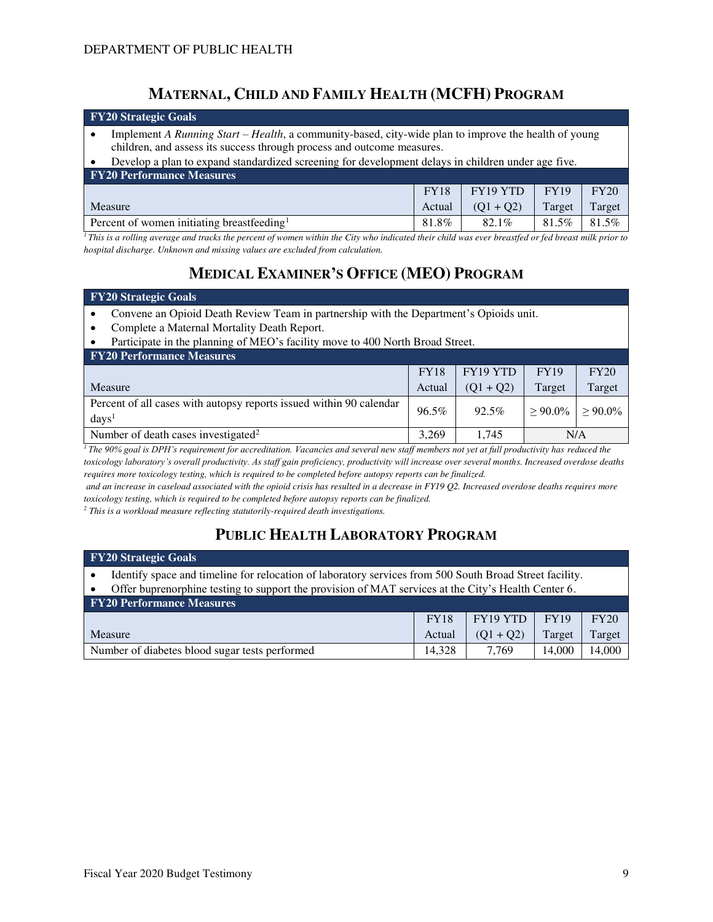## **MATERNAL, CHILD AND FAMILY HEALTH (MCFH) PROGRAM**

|                                            | <b>FY20 Strategic Goals</b>                                                                                                                                                    |  |  |  |        |  |  |  |
|--------------------------------------------|--------------------------------------------------------------------------------------------------------------------------------------------------------------------------------|--|--|--|--------|--|--|--|
|                                            | Implement A Running Start – Health, a community-based, city-wide plan to improve the health of young<br>children, and assess its success through process and outcome measures. |  |  |  |        |  |  |  |
|                                            | Develop a plan to expand standardized screening for development delays in children under age five.                                                                             |  |  |  |        |  |  |  |
|                                            | <b>FY20 Performance Measures</b>                                                                                                                                               |  |  |  |        |  |  |  |
|                                            | FY19 YTD<br><b>FY19</b><br>FY20<br><b>FY18</b>                                                                                                                                 |  |  |  |        |  |  |  |
| Target<br>Measure<br>$(Q1 + Q2)$<br>Actual |                                                                                                                                                                                |  |  |  | Target |  |  |  |

Percent of women initiating breastfeeding<sup>1</sup> 81.8% 82.1% 81.5% 81.5% *<sup>1</sup>This is a rolling average and tracks the percent of women within the City who indicated their child was ever breastfed or fed breast milk prior to hospital discharge. Unknown and missing values are excluded from calculation.* 

## **MEDICAL EXAMINER'S OFFICE (MEO) PROGRAM**

#### **FY20 Strategic Goals**

- Convene an Opioid Death Review Team in partnership with the Department's Opioids unit.
- Complete a Maternal Mortality Death Report.
- Participate in the planning of MEO's facility move to 400 North Broad Street.

| <b>FY20 Performance Measures</b>                                                         |             |             |             |            |
|------------------------------------------------------------------------------------------|-------------|-------------|-------------|------------|
|                                                                                          | <b>FY18</b> | FY19 YTD    | <b>FY19</b> | FY20       |
| Measure                                                                                  | Actual      | $(01 + 02)$ | Target      | Target     |
| Percent of all cases with autopsy reports issued within 90 calendar<br>days <sup>1</sup> | 96.5%       | 92.5%       | $>90.0\%$   | $> 90.0\%$ |
| Number of death cases investigated <sup>2</sup>                                          | 3.269       | 1.745       | N/A         |            |

*<sup>1</sup>The 90% goal is DPH's requirement for accreditation. Vacancies and several new staff members not yet at full productivity has reduced the toxicology laboratory's overall productivity. As staff gain proficiency, productivity will increase over several months. Increased overdose deaths requires more toxicology testing, which is required to be completed before autopsy reports can be finalized.*

 *and an increase in caseload associated with the opioid crisis has resulted in a decrease in FY19 Q2. Increased overdose deaths requires more toxicology testing, which is required to be completed before autopsy reports can be finalized.* 

<sup>2</sup> This is a workload measure reflecting statutorily-required death investigations.

## **PUBLIC HEALTH LABORATORY PROGRAM**

| <b>FY20 Strategic Goals</b>                                                                             |                                                                                                     |             |             |        |  |  |  |  |
|---------------------------------------------------------------------------------------------------------|-----------------------------------------------------------------------------------------------------|-------------|-------------|--------|--|--|--|--|
| Identify space and timeline for relocation of laboratory services from 500 South Broad Street facility. |                                                                                                     |             |             |        |  |  |  |  |
|                                                                                                         | Offer buprenorphine testing to support the provision of MAT services at the City's Health Center 6. |             |             |        |  |  |  |  |
| <b>FY20 Performance Measures</b>                                                                        |                                                                                                     |             |             |        |  |  |  |  |
|                                                                                                         | <b>FY18</b>                                                                                         | FY19 YTD    | <b>FY19</b> | FY20   |  |  |  |  |
| Measure                                                                                                 | Actual                                                                                              | $(Q1 + Q2)$ | Target      | Target |  |  |  |  |
| Number of diabetes blood sugar tests performed                                                          | 14.328                                                                                              | 7.769       | 14,000      | 14,000 |  |  |  |  |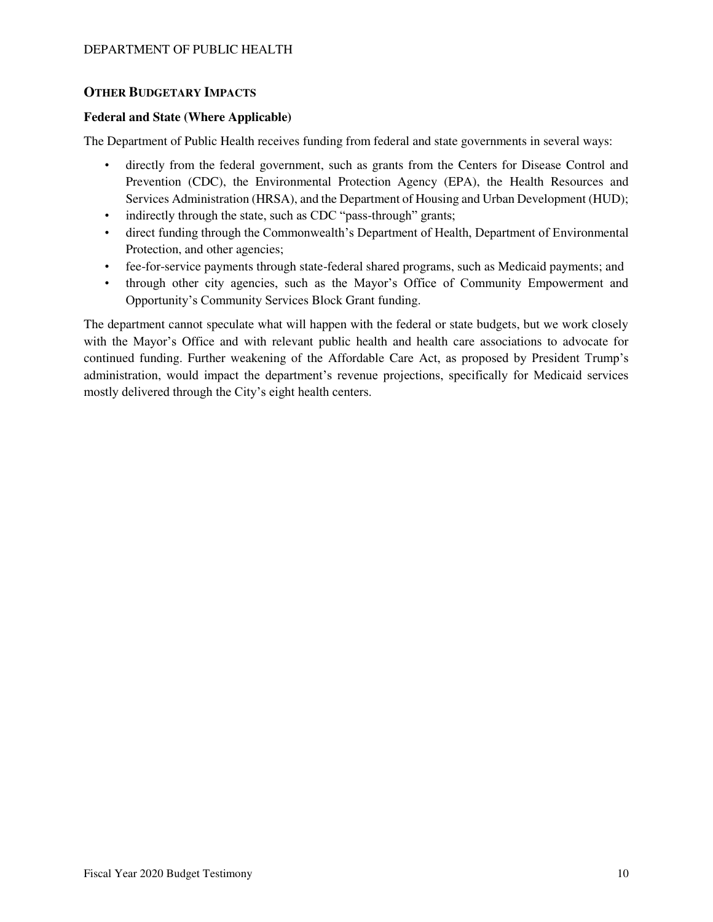### **OTHER BUDGETARY IMPACTS**

#### **Federal and State (Where Applicable)**

The Department of Public Health receives funding from federal and state governments in several ways:

- directly from the federal government, such as grants from the Centers for Disease Control and Prevention (CDC), the Environmental Protection Agency (EPA), the Health Resources and Services Administration (HRSA), and the Department of Housing and Urban Development (HUD);
- indirectly through the state, such as CDC "pass-through" grants;
- direct funding through the Commonwealth's Department of Health, Department of Environmental Protection, and other agencies;
- fee-for-service payments through state-federal shared programs, such as Medicaid payments; and
- through other city agencies, such as the Mayor's Office of Community Empowerment and Opportunity's Community Services Block Grant funding.

The department cannot speculate what will happen with the federal or state budgets, but we work closely with the Mayor's Office and with relevant public health and health care associations to advocate for continued funding. Further weakening of the Affordable Care Act, as proposed by President Trump's administration, would impact the department's revenue projections, specifically for Medicaid services mostly delivered through the City's eight health centers.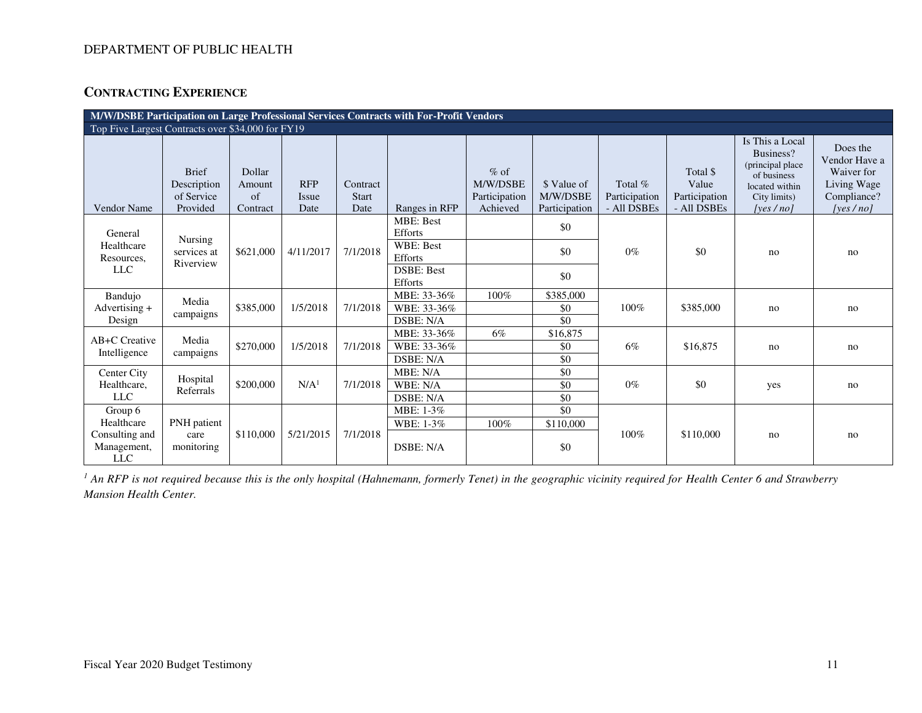## **CONTRACTING EXPERIENCE**

| M/W/DSBE Participation on Large Professional Services Contracts with For-Profit Vendors |                                                       |                                          |                                    |                                  |                                                                                            |                                                 |                                          |                                           |                                                   |                                                                                                                |                                                                                       |
|-----------------------------------------------------------------------------------------|-------------------------------------------------------|------------------------------------------|------------------------------------|----------------------------------|--------------------------------------------------------------------------------------------|-------------------------------------------------|------------------------------------------|-------------------------------------------|---------------------------------------------------|----------------------------------------------------------------------------------------------------------------|---------------------------------------------------------------------------------------|
| Top Five Largest Contracts over \$34,000 for FY19                                       |                                                       |                                          |                                    |                                  |                                                                                            |                                                 |                                          |                                           |                                                   |                                                                                                                |                                                                                       |
| Vendor Name                                                                             | <b>Brief</b><br>Description<br>of Service<br>Provided | Dollar<br>Amount<br>$\sigma$<br>Contract | <b>RFP</b><br><b>Issue</b><br>Date | Contract<br><b>Start</b><br>Date | Ranges in RFP                                                                              | $%$ of<br>M/W/DSBE<br>Participation<br>Achieved | \$ Value of<br>M/W/DSBE<br>Participation | Total $%$<br>Participation<br>- All DSBEs | Total \$<br>Value<br>Participation<br>- All DSBEs | Is This a Local<br>Business?<br>(principal place)<br>of business<br>located within<br>City limits)<br>[ves/no] | Does the<br>Vendor Have a<br>Waiver for<br>Living Wage<br>Compliance?<br>[yes $/no$ ] |
| General<br>Healthcare<br>Resources,<br><b>LLC</b>                                       | Nursing<br>services at<br>Riverview                   | \$621,000                                | 4/11/2017                          | 7/1/2018                         | <b>MBE: Best</b><br>Efforts<br><b>WBE: Best</b><br>Efforts<br><b>DSBE: Best</b><br>Efforts |                                                 | \$0<br>\$0<br>\$0                        | $0\%$                                     | \$0                                               | no                                                                                                             | no                                                                                    |
| Bandujo<br>Advertising $+$<br>Design                                                    | Media<br>campaigns                                    | \$385,000                                | 1/5/2018                           | 7/1/2018                         | MBE: 33-36%<br>WBE: 33-36%<br>DSBE: N/A                                                    | 100%                                            | \$385,000<br>\$0<br>\$0                  | 100%                                      | \$385,000                                         | no                                                                                                             | no                                                                                    |
| AB+C Creative<br>Intelligence                                                           | Media<br>campaigns                                    | \$270,000                                | 1/5/2018                           | 7/1/2018                         | MBE: 33-36%<br>WBE: 33-36%<br>DSBE: N/A                                                    | 6%                                              | \$16,875<br>\$0<br>\$0                   | 6%                                        | \$16,875                                          | no                                                                                                             | no                                                                                    |
| Center City<br>Healthcare.<br><b>LLC</b>                                                | Hospital<br>Referrals                                 | \$200,000                                | N/A <sup>1</sup>                   | 7/1/2018                         | MBE: N/A<br>WBE: N/A<br>DSBE: N/A                                                          |                                                 | \$0<br>\$0<br>\$0                        | $0\%$                                     | \$0                                               | yes                                                                                                            | no                                                                                    |
| Group 6<br>Healthcare<br>Consulting and<br>Management,<br><b>LLC</b>                    | PNH patient<br>care<br>monitoring                     | \$110,000                                | 5/21/2015                          | 7/1/2018                         | MBE: 1-3%<br>WBE: 1-3%<br>DSBE: N/A                                                        | 100%                                            | \$0<br>\$110,000<br>\$0                  | 100%                                      | \$110,000                                         | no                                                                                                             | no                                                                                    |

<sup>1</sup> An RFP is not required because this is the only hospital (Hahnemann, formerly Tenet) in the geographic vicinity required for Health Center 6 and Strawberry *Mansion Health Center.*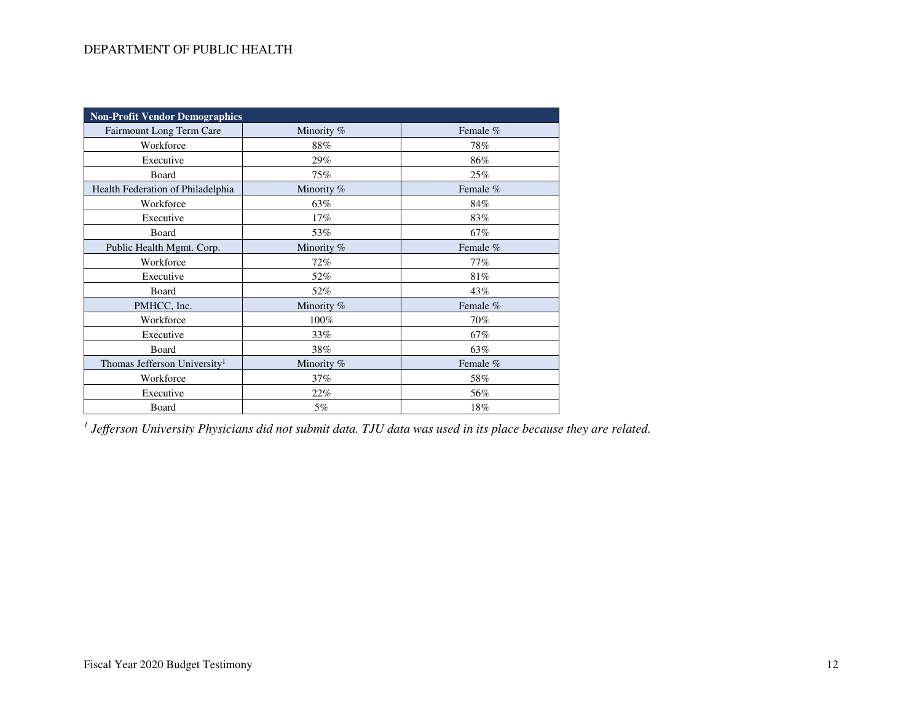| <b>Non-Profit Vendor Demographics</b>    |              |          |  |  |  |  |
|------------------------------------------|--------------|----------|--|--|--|--|
| Fairmount Long Term Care                 | Minority %   | Female % |  |  |  |  |
| Workforce                                | 88%          | 78%      |  |  |  |  |
| Executive                                | 29%          | 86%      |  |  |  |  |
| Board                                    | 75%          | 25%      |  |  |  |  |
| Health Federation of Philadelphia        | Minority %   | Female % |  |  |  |  |
| Workforce                                | 63%          | 84%      |  |  |  |  |
| Executive                                | 17%          | 83%      |  |  |  |  |
| Board                                    | 53%          | 67%      |  |  |  |  |
| Public Health Mgmt. Corp.                | Minority %   | Female % |  |  |  |  |
| Workforce                                | 72%          | 77%      |  |  |  |  |
| Executive                                | 52%          | 81%      |  |  |  |  |
| Board                                    | 52%          | 43%      |  |  |  |  |
| PMHCC, Inc.                              | Minority $%$ | Female % |  |  |  |  |
| Workforce                                | 100%         | 70%      |  |  |  |  |
| Executive                                | 33%          | 67%      |  |  |  |  |
| Board                                    | 38%          | 63%      |  |  |  |  |
| Thomas Jefferson University <sup>1</sup> | Minority %   | Female % |  |  |  |  |
| Workforce                                | 37%          | 58%      |  |  |  |  |
| Executive                                | 22%          | 56%      |  |  |  |  |
| Board                                    | 5%           | 18%      |  |  |  |  |

*1 Jefferson University Physicians did not submit data. TJU data was used in its place because they are related.*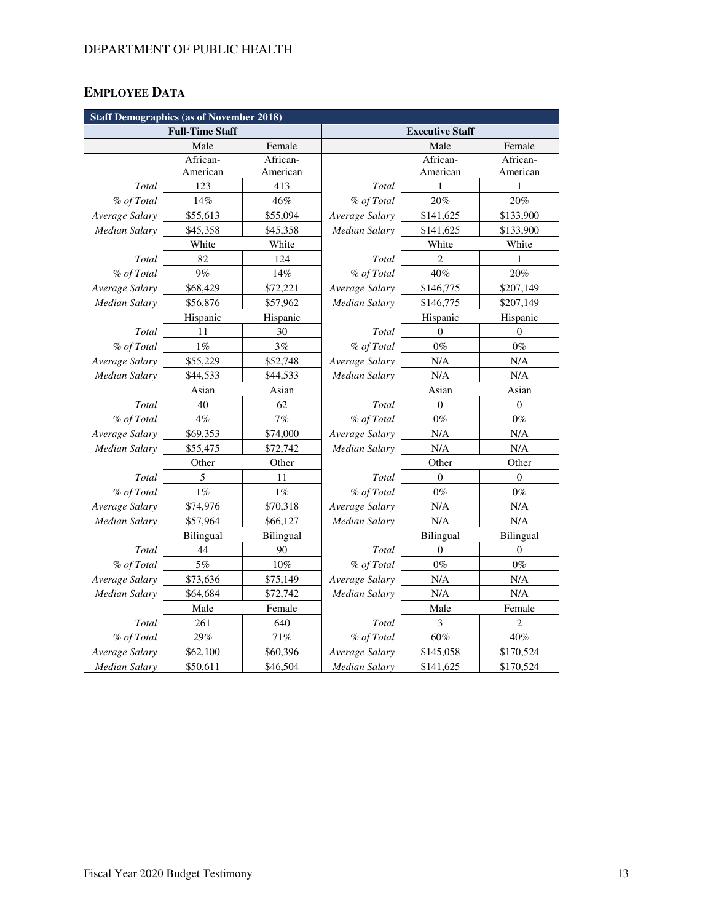## **EMPLOYEE DATA**

|                      | <b>Staff Demographics (as of November 2018)</b> |           |                |                        |                  |  |  |  |
|----------------------|-------------------------------------------------|-----------|----------------|------------------------|------------------|--|--|--|
|                      | <b>Full-Time Staff</b>                          |           |                | <b>Executive Staff</b> |                  |  |  |  |
|                      | Male                                            | Female    |                | Male                   | Female           |  |  |  |
|                      | African-                                        | African-  |                | African-               | African-         |  |  |  |
|                      | American                                        | American  |                | American               | American         |  |  |  |
| Total                | 123                                             | 413       | Total          | 1                      | 1                |  |  |  |
| % of Total           | 14%                                             | 46%       | % of Total     | 20%                    | 20%              |  |  |  |
| Average Salary       | \$55,613                                        | \$55,094  | Average Salary | \$141,625              | \$133,900        |  |  |  |
| <b>Median Salary</b> | \$45,358                                        | \$45,358  | Median Salary  | \$141,625              | \$133,900        |  |  |  |
|                      | White                                           | White     |                | White                  | White            |  |  |  |
| Total                | 82                                              | 124       | Total          | $\overline{c}$         | 1                |  |  |  |
| % of Total           | 9%                                              | 14%       | % of Total     | 40%                    | 20%              |  |  |  |
| Average Salary       | \$68,429                                        | \$72,221  | Average Salary | \$146,775              | \$207,149        |  |  |  |
| Median Salary        | \$56,876                                        | \$57,962  | Median Salary  | \$146,775              | \$207,149        |  |  |  |
|                      | Hispanic                                        | Hispanic  |                | Hispanic               |                  |  |  |  |
| Total                | 11                                              | 30        | Total          | $\theta$               | $\theta$         |  |  |  |
| % of Total           | $1\%$                                           | 3%        | % of Total     | $0\%$                  | $0\%$            |  |  |  |
| Average Salary       | \$55,229                                        | \$52,748  | Average Salary | N/A                    | N/A              |  |  |  |
| <b>Median Salary</b> | \$44,533                                        | \$44,533  | Median Salary  | N/A                    | $\rm N/A$        |  |  |  |
|                      | Asian                                           | Asian     | Asian          |                        | Asian            |  |  |  |
| Total                | 40                                              | 62        | Total          | $\mathbf{0}$           | $\boldsymbol{0}$ |  |  |  |
| % of Total           | $4\%$                                           | 7%        | % of Total     | $0\%$                  | $0\%$            |  |  |  |
| Average Salary       | \$69,353                                        | \$74,000  | Average Salary | N/A                    | N/A              |  |  |  |
| <b>Median Salary</b> | \$55,475                                        | \$72,742  | Median Salary  | N/A                    |                  |  |  |  |
|                      | Other                                           | Other     |                | Other                  | Other            |  |  |  |
| Total                | 5                                               | 11        | Total          | $\theta$               | $\theta$         |  |  |  |
| % of Total           | 1%                                              | $1\%$     | % of Total     | $0\%$                  | $0\%$            |  |  |  |
| Average Salary       | \$74,976                                        | \$70,318  | Average Salary | N/A                    | N/A              |  |  |  |
| <b>Median Salary</b> | \$57,964                                        | \$66,127  | Median Salary  | N/A                    | N/A              |  |  |  |
|                      | Bilingual                                       | Bilingual |                | Bilingual              | Bilingual        |  |  |  |
| Total                | 44                                              | 90        | Total          | $\theta$               | $\theta$         |  |  |  |
| % of Total           | 5%                                              | 10%       | % of Total     | $0\%$                  | $0\%$            |  |  |  |
| Average Salary       | \$73,636                                        | \$75,149  | Average Salary | N/A                    | N/A              |  |  |  |
| <b>Median Salary</b> | \$64,684                                        | \$72,742  | Median Salary  | N/A                    | $\rm N/A$        |  |  |  |
|                      | Male                                            | Female    |                | Male                   | Female           |  |  |  |
| Total                | 261                                             | 640       | Total          | 3                      | 2                |  |  |  |
| % of Total           | 29%                                             | 71%       | % of Total     | $60\%$                 | 40%              |  |  |  |
| Average Salary       | \$62,100                                        | \$60,396  | Average Salary | \$145,058              | \$170,524        |  |  |  |
| Median Salary        | \$50,611                                        | \$46,504  | Median Salary  | \$141,625              | \$170,524        |  |  |  |